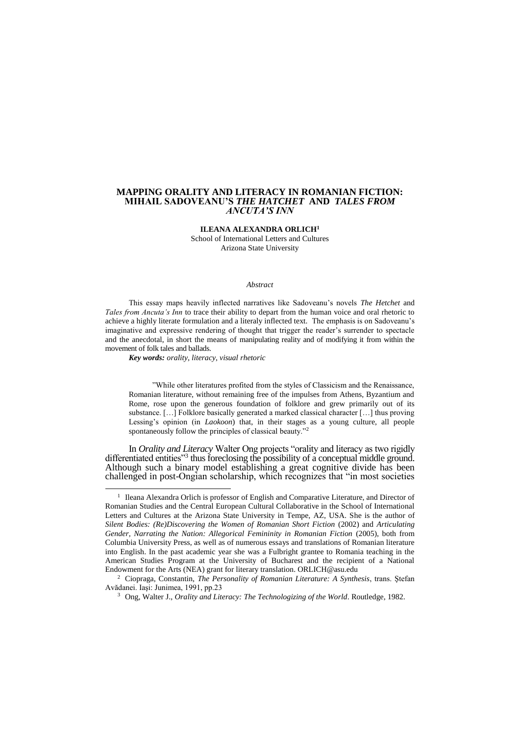#### **MAPPING ORALITY AND LITERACY IN ROMANIAN FICTION: MIHAIL SADOVEANU'S** *THE HATCHET* **AND** *TALES FROM ANCUTA'S INN*

#### **ILEANA ALEXANDRA ORLICH<sup>1</sup>**

School of International Letters and Cultures Arizona State University

#### *Abstract*

This essay maps heavily inflected narratives like Sadoveanu's novels *The Hetchet* and *Tales from Ancuta's Inn* to trace their ability to depart from the human voice and oral rhetoric to achieve a highly literate formulation and a literaly inflected text. The emphasis is on Sadoveanu's imaginative and expressive rendering of thought that trigger the reader's surrender to spectacle and the anecdotal, in short the means of manipulating reality and of modifying it from within the movement of folk tales and ballads.

*Key words: orality, literacy, visual rhetoric*

 $\overline{a}$ 

"While other literatures profited from the styles of Classicism and the Renaissance, Romanian literature, without remaining free of the impulses from Athens, Byzantium and Rome, rose upon the generous foundation of folklore and grew primarily out of its substance. […] Folklore basically generated a marked classical character […] thus proving Lessing's opinion (in *Laokoon*) that, in their stages as a young culture, all people spontaneously follow the principles of classical beauty."<sup>2</sup>

In *Orality and Literacy* Walter Ong projects "orality and literacy as two rigidly differentiated entities"<sup>3</sup> thus foreclosing the possibility of a conceptual middle ground. Although such a binary model establishing a great cognitive divide has been challenged in post-Ongian scholarship, which recognizes that "in most societies

<sup>&</sup>lt;sup>1</sup> Ileana Alexandra Orlich is professor of English and Comparative Literature, and Director of Romanian Studies and the Central European Cultural Collaborative in the School of International Letters and Cultures at the Arizona State University in Tempe, AZ, USA. She is the author of *Silent Bodies: (Re)Discovering the Women of Romanian Short Fiction* (2002) and *Articulating*  Gender, Narrating the Nation: Allegorical Femininity in Romanian Fiction (2005), both from Columbia University Press, as well as of numerous essays and translations of Romanian literature into English. In the past academic year she was a Fulbright grantee to Romania teaching in the American Studies Program at the University of Bucharest and the recipient of a National Endowment for the Arts (NEA) grant for literary translation. ORLICH@asu.edu

<sup>2</sup> Ciopraga, Constantin, *The Personality of Romanian Literature: A Synthesis*, trans. Ştefan Avădanei. Iaşi: Junimea, 1991, pp.23

<sup>&</sup>lt;sup>3</sup> Ong, Walter J., *Orality and Literacy: The Technologizing of the World*. Routledge, 1982.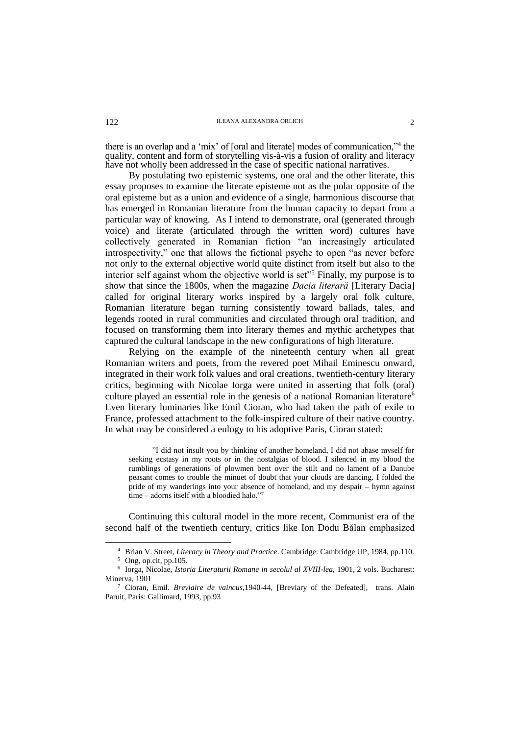there is an overlap and a 'mix' of [oral and literate] modes of communication,"<sup>4</sup> the quality, content and form of storytelling vis-à-vis a fusion of orality and literacy have not wholly been addressed in the case of specific national narratives.

By postulating two epistemic systems, one oral and the other literate, this essay proposes to examine the literate episteme not as the polar opposite of the oral episteme but as a union and evidence of a single, harmonious discourse that has emerged in Romanian literature from the human capacity to depart from a particular way of knowing. As I intend to demonstrate, oral (generated through voice) and literate (articulated through the written word) cultures have collectively generated in Romanian fiction "an increasingly articulated introspectivity," one that allows the fictional psyche to open "as never before not only to the external objective world quite distinct from itself but also to the interior self against whom the objective world is set"<sup>5</sup> Finally, my purpose is to show that since the 1800s, when the magazine *Dacia literară* [Literary Dacia] called for original literary works inspired by a largely oral folk culture, Romanian literature began turning consistently toward ballads, tales, and legends rooted in rural communities and circulated through oral tradition, and focused on transforming them into literary themes and mythic archetypes that captured the cultural landscape in the new configurations of high literature.

Relying on the example of the nineteenth century when all great Romanian writers and poets, from the revered poet Mihail Eminescu onward, integrated in their work folk values and oral creations, twentieth-century literary critics, beginning with Nicolae Iorga were united in asserting that folk (oral) culture played an essential role in the genesis of a national Romanian literature<sup>6</sup> Even literary luminaries like Emil Cioran, who had taken the path of exile to France, professed attachment to the folk-inspired culture of their native country. In what may be considered a eulogy to his adoptive Paris, Cioran stated:

"I did not insult you by thinking of another homeland, I did not abase myself for seeking ecstasy in my roots or in the nostalgias of blood. I silenced in my blood the rumblings of generations of plowmen bent over the stilt and no lament of a Danube peasant comes to trouble the minuet of doubt that your clouds are dancing. I folded the pride of my wanderings into your absence of homeland, and my despair – hymn against time – adorns itself with a bloodied halo."7

Continuing this cultural model in the more recent, Communist era of the second half of the twentieth century, critics like Ion Dodu Bălan emphasized

<sup>4</sup> Brian V. Street, *Literacy in Theory and Practice*. Cambridge: Cambridge UP, 1984, pp.110.

<sup>5</sup> Ong, op.cit, pp.105.

<sup>6</sup> Iorga, Nicolae, *Istoria Literaturii Romane in secolul al XVIII-lea*, 1901, 2 vols. Bucharest: Minerva, 1901

<sup>7</sup> Cioran, Emil. *Breviaire de vaincus*,1940-44, [Breviary of the Defeated], trans. Alain Paruit, Paris: Gallimard, 1993, pp.93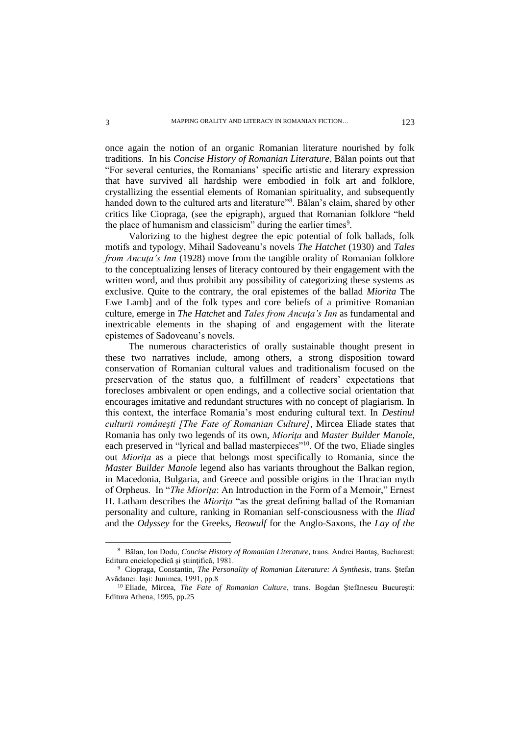once again the notion of an organic Romanian literature nourished by folk traditions. In his *Concise History of Romanian Literature*, Bălan points out that "For several centuries, the Romanians' specific artistic and literary expression that have survived all hardship were embodied in folk art and folklore, crystallizing the essential elements of Romanian spirituality, and subsequently handed down to the cultured arts and literature"<sup>8</sup>. Bălan's claim, shared by other critics like Ciopraga, (see the epigraph), argued that Romanian folklore "held the place of humanism and classicism" during the earlier times<sup>9</sup>.

Valorizing to the highest degree the epic potential of folk ballads, folk motifs and typology, Mihail Sadoveanu's novels *The Hatchet* (1930) and *Tales from Ancuţa's Inn* (1928) move from the tangible orality of Romanian folklore to the conceptualizing lenses of literacy contoured by their engagement with the written word, and thus prohibit any possibility of categorizing these systems as exclusive. Quite to the contrary, the oral epistemes of the ballad *Miorita* The Ewe Lamb] and of the folk types and core beliefs of a primitive Romanian culture, emerge in *The Hatchet* and *Tales from Ancuţa's Inn* as fundamental and inextricable elements in the shaping of and engagement with the literate epistemes of Sadoveanu's novels.

The numerous characteristics of orally sustainable thought present in these two narratives include, among others, a strong disposition toward conservation of Romanian cultural values and traditionalism focused on the preservation of the status quo, a fulfillment of readers' expectations that forecloses ambivalent or open endings, and a collective social orientation that encourages imitative and redundant structures with no concept of plagiarism. In this context, the interface Romania's most enduring cultural text. In *Destinul culturii româneşti [The Fate of Romanian Culture]*, Mircea Eliade states that Romania has only two legends of its own, *Mioriţa* and *Master Builder Manole*, each preserved in "lyrical and ballad masterpieces"<sup>10</sup>. Of the two, Eliade singles out *Mioriţa* as a piece that belongs most specifically to Romania, since the *Master Builder Manole* legend also has variants throughout the Balkan region, in Macedonia, Bulgaria, and Greece and possible origins in the Thracian myth of Orpheus. In "*The Mioriţa*: An Introduction in the Form of a Memoir," Ernest H. Latham describes the *Mioriţa* "as the great defining ballad of the Romanian personality and culture, ranking in Romanian self-consciousness with the *Iliad* and the *Odyssey* for the Greeks, *Beowulf* for the Anglo-Saxons, the *Lay of the* 

<sup>8</sup> Bălan, Ion Dodu, *Concise History of Romanian Literature*, trans. Andrei Bantaş, Bucharest: Editura enciclopedică şi ştiinţifică, 1981.

<sup>9</sup> Ciopraga, Constantin, *The Personality of Romanian Literature: A Synthesis*, trans. Ştefan Avădanei. Iaşi: Junimea, 1991, pp.8

<sup>&</sup>lt;sup>10</sup> Eliade, Mircea, *The Fate of Romanian Culture*, trans. Bogdan Ștefănescu București: Editura Athena, 1995, pp.25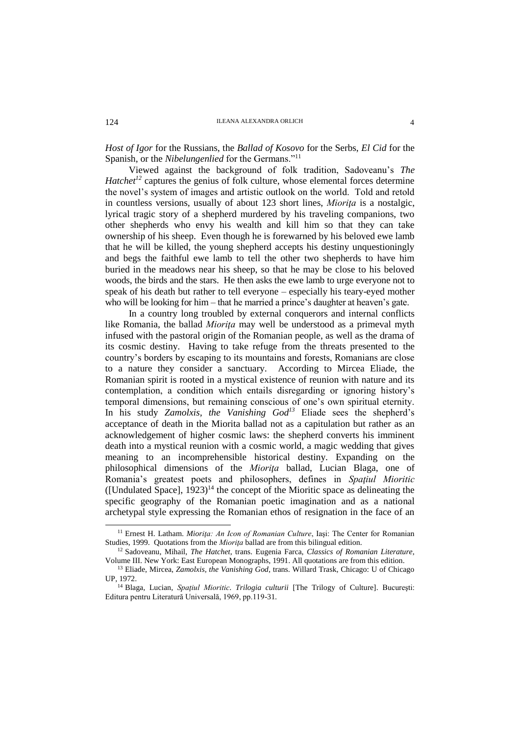*Host of Igor* for the Russians, the *Ballad of Kosovo* for the Serbs, *El Cid* for the Spanish, or the *Nibelungenlied* for the Germans."<sup>11</sup>

Viewed against the background of folk tradition, Sadoveanu's *The Hatchet*<sup>12</sup> captures the genius of folk culture, whose elemental forces determine the novel's system of images and artistic outlook on the world. Told and retold in countless versions, usually of about 123 short lines, *Miorita* is a nostalgic, lyrical tragic story of a shepherd murdered by his traveling companions, two other shepherds who envy his wealth and kill him so that they can take ownership of his sheep. Even though he is forewarned by his beloved ewe lamb that he will be killed, the young shepherd accepts his destiny unquestioningly and begs the faithful ewe lamb to tell the other two shepherds to have him buried in the meadows near his sheep, so that he may be close to his beloved woods, the birds and the stars. He then asks the ewe lamb to urge everyone not to speak of his death but rather to tell everyone – especially his teary-eyed mother who will be looking for him – that he married a prince's daughter at heaven's gate.

In a country long troubled by external conquerors and internal conflicts like Romania, the ballad *Mioriţa* may well be understood as a primeval myth infused with the pastoral origin of the Romanian people, as well as the drama of its cosmic destiny. Having to take refuge from the threats presented to the country's borders by escaping to its mountains and forests, Romanians are close to a nature they consider a sanctuary. According to Mircea Eliade, the Romanian spirit is rooted in a mystical existence of reunion with nature and its contemplation, a condition which entails disregarding or ignoring history's temporal dimensions, but remaining conscious of one's own spiritual eternity. In his study *Zamolxis, the Vanishing God<sup>13</sup>* Eliade sees the shepherd's acceptance of death in the Miorita ballad not as a capitulation but rather as an acknowledgement of higher cosmic laws: the shepherd converts his imminent death into a mystical reunion with a cosmic world, a magic wedding that gives meaning to an incomprehensible historical destiny. Expanding on the philosophical dimensions of the *Mioriţa* ballad, Lucian Blaga, one of Romania's greatest poets and philosophers, defines in *Spaţiul Mioritic* ([Undulated Space],  $1923$ <sup>14</sup> the concept of the Mioritic space as delineating the specific geography of the Romanian poetic imagination and as a national archetypal style expressing the Romanian ethos of resignation in the face of an

<sup>11</sup> Ernest H. Latham. *Mioriţa: An Icon of Romanian Culture*, Iaşi: The Center for Romanian Studies, 1999. Quotations from the *Mioriţa* ballad are from this bilingual edition.

<sup>12</sup> Sadoveanu, Mihail, *The Hatchet*, trans. Eugenia Farca, *Classics of Romanian Literature*, Volume III. New York: East European Monographs, 1991. All quotations are from this edition.

<sup>&</sup>lt;sup>13</sup> Eliade, Mircea, *Zamolxis, the Vanishing God*, trans. Willard Trask, Chicago: U of Chicago UP, 1972.

<sup>14</sup> Blaga, Lucian, *Spaţiul Mioritic*. *Trilogia culturii* [The Trilogy of Culture]. Bucureşti: Editura pentru Literatură Universală, 1969, pp.119-31.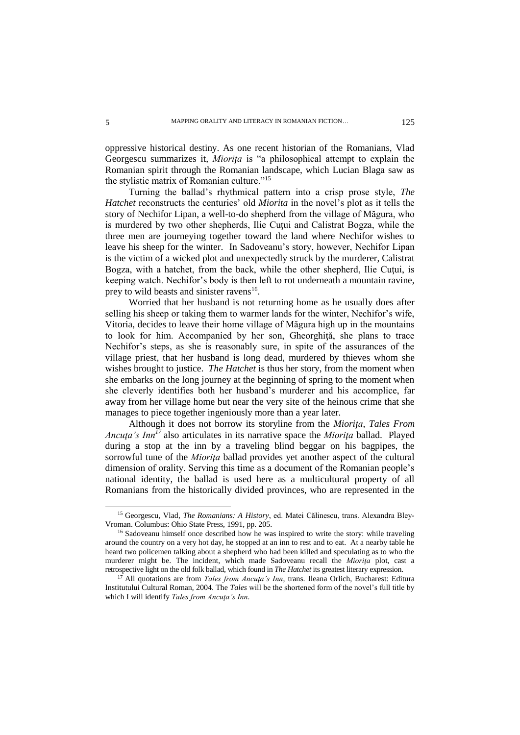oppressive historical destiny. As one recent historian of the Romanians, Vlad Georgescu summarizes it, *Miorita* is "a philosophical attempt to explain the Romanian spirit through the Romanian landscape, which Lucian Blaga saw as the stylistic matrix of Romanian culture."<sup>15</sup>

Turning the ballad's rhythmical pattern into a crisp prose style, *The Hatchet* reconstructs the centuries' old *Miorita* in the novel's plot as it tells the story of Nechifor Lipan, a well-to-do shepherd from the village of Măgura, who is murdered by two other shepherds, Ilie Cutui and Calistrat Bogza, while the three men are journeying together toward the land where Nechifor wishes to leave his sheep for the winter. In Sadoveanu's story, however, Nechifor Lipan is the victim of a wicked plot and unexpectedly struck by the murderer, Calistrat Bogza, with a hatchet, from the back, while the other shepherd, Ilie Cutui, is keeping watch. Nechifor's body is then left to rot underneath a mountain ravine, prey to wild beasts and sinister ravens<sup>16</sup>.

Worried that her husband is not returning home as he usually does after selling his sheep or taking them to warmer lands for the winter, Nechifor's wife, Vitoria, decides to leave their home village of Măgura high up in the mountains to look for him. Accompanied by her son, Gheorghiţă, she plans to trace Nechifor's steps, as she is reasonably sure, in spite of the assurances of the village priest, that her husband is long dead, murdered by thieves whom she wishes brought to justice. *The Hatchet* is thus her story, from the moment when she embarks on the long journey at the beginning of spring to the moment when she cleverly identifies both her husband's murderer and his accomplice, far away from her village home but near the very site of the heinous crime that she manages to piece together ingeniously more than a year later.

Although it does not borrow its storyline from the *Mioriţa*, *Tales From Ancuţa's Inn<sup>17</sup>* also articulates in its narrative space the *Mioriţa* ballad. Played during a stop at the inn by a traveling blind beggar on his bagpipes, the sorrowful tune of the *Mioriţa* ballad provides yet another aspect of the cultural dimension of orality. Serving this time as a document of the Romanian people's national identity, the ballad is used here as a multicultural property of all Romanians from the historically divided provinces, who are represented in the

<sup>15</sup> Georgescu, Vlad, *The Romanians: A History*, ed. Matei Călinescu, trans. Alexandra Bley-Vroman. Columbus: Ohio State Press, 1991, pp. 205.

<sup>&</sup>lt;sup>16</sup> Sadoveanu himself once described how he was inspired to write the story: while traveling around the country on a very hot day, he stopped at an inn to rest and to eat. At a nearby table he heard two policemen talking about a shepherd who had been killed and speculating as to who the murderer might be. The incident, which made Sadoveanu recall the *Mioriţa* plot, cast a retrospective light on the old folk ballad, which found in *The Hatchet* its greatest literary expression.

<sup>&</sup>lt;sup>17</sup> All quotations are from *Tales from Ancuta's Inn*, trans. Ileana Orlich, Bucharest: Editura Institutului Cultural Roman, 2004. The *Tales* will be the shortened form of the novel's full title by which I will identify *Tales from Ancuţa's Inn*.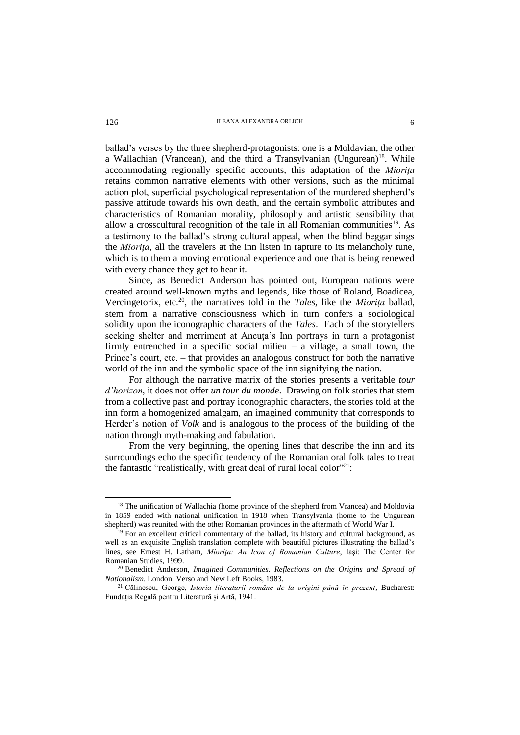## **ILEANA ALEXANDRA ORLICH** 6

ballad's verses by the three shepherd-protagonists: one is a Moldavian, the other a Wallachian (Vrancean), and the third a Transylvanian (Ungurean)<sup>18</sup>. While accommodating regionally specific accounts, this adaptation of the *Mioriţa* retains common narrative elements with other versions, such as the minimal action plot, superficial psychological representation of the murdered shepherd's passive attitude towards his own death, and the certain symbolic attributes and characteristics of Romanian morality, philosophy and artistic sensibility that allow a crosscultural recognition of the tale in all Romanian communities<sup>19</sup>. As a testimony to the ballad's strong cultural appeal, when the blind beggar sings the *Miorita*, all the travelers at the inn listen in rapture to its melancholy tune, which is to them a moving emotional experience and one that is being renewed with every chance they get to hear it.

Since, as Benedict Anderson has pointed out, European nations were created around well-known myths and legends, like those of Roland, Boadicea, Vercingetorix, etc.<sup>20</sup>, the narratives told in the *Tales*, like the *Mioriţa* ballad, stem from a narrative consciousness which in turn confers a sociological solidity upon the iconographic characters of the *Tales*. Each of the storytellers seeking shelter and merriment at Ancuta's Inn portrays in turn a protagonist firmly entrenched in a specific social milieu – a village, a small town, the Prince's court, etc. – that provides an analogous construct for both the narrative world of the inn and the symbolic space of the inn signifying the nation.

For although the narrative matrix of the stories presents a veritable *tour d'horizon*, it does not offer *un tour du monde*. Drawing on folk stories that stem from a collective past and portray iconographic characters, the stories told at the inn form a homogenized amalgam, an imagined community that corresponds to Herder's notion of *Volk* and is analogous to the process of the building of the nation through myth-making and fabulation.

From the very beginning, the opening lines that describe the inn and its surroundings echo the specific tendency of the Romanian oral folk tales to treat the fantastic "realistically, with great deal of rural local color"<sup>21</sup>:

<sup>&</sup>lt;sup>18</sup> The unification of Wallachia (home province of the shepherd from Vrancea) and Moldovia in 1859 ended with national unification in 1918 when Transylvania (home to the Ungurean shepherd) was reunited with the other Romanian provinces in the aftermath of World War I.

<sup>&</sup>lt;sup>19</sup> For an excellent critical commentary of the ballad, its history and cultural background, as well as an exquisite English translation complete with beautiful pictures illustrating the ballad's lines, see Ernest H. Latham, *Mioriţa: An Icon of Romanian Culture*, Iaşi: The Center for Romanian Studies, 1999.

<sup>20</sup> Benedict Anderson, *Imagined Communities. Reflections on the Origins and Spread of Nationalism*. London: Verso and New Left Books, 1983.

<sup>21</sup> Călinescu, George, *Istoria literaturii române de la origini până în prezent*, Bucharest: Fundaţia Regală pentru Literatură şi Artă, 1941.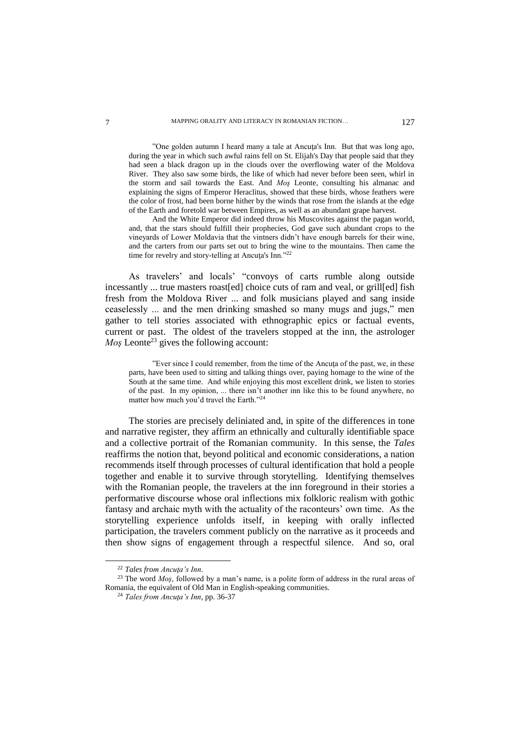"One golden autumn I heard many a tale at Ancuţa's Inn. But that was long ago, during the year in which such awful rains fell on St. Elijah's Day that people said that they had seen a black dragon up in the clouds over the overflowing water of the Moldova River. They also saw some birds, the like of which had never before been seen, whirl in the storm and sail towards the East. And *Moş* Leonte, consulting his almanac and explaining the signs of Emperor Heraclitus, showed that these birds, whose feathers were the color of frost, had been borne hither by the winds that rose from the islands at the edge of the Earth and foretold war between Empires, as well as an abundant grape harvest.

And the White Emperor did indeed throw his Muscovites against the pagan world, and, that the stars should fulfill their prophecies, God gave such abundant crops to the vineyards of Lower Moldavia that the vintners didn't have enough barrels for their wine, and the carters from our parts set out to bring the wine to the mountains. Then came the time for revelry and story-telling at Ancuta's Inn."<sup>22</sup>

As travelers' and locals' "convoys of carts rumble along outside incessantly ... true masters roast[ed] choice cuts of ram and veal, or grill[ed] fish fresh from the Moldova River ... and folk musicians played and sang inside ceaselessly ... and the men drinking smashed so many mugs and jugs," men gather to tell stories associated with ethnographic epics or factual events, current or past. The oldest of the travelers stopped at the inn, the astrologer *Mos* Leonte<sup>23</sup> gives the following account:

"Ever since I could remember, from the time of the Ancuţa of the past, we, in these parts, have been used to sitting and talking things over, paying homage to the wine of the South at the same time. And while enjoying this most excellent drink, we listen to stories of the past. In my opinion, ... there isn't another inn like this to be found anywhere, no matter how much you'd travel the Earth."<sup>24</sup>

The stories are precisely deliniated and, in spite of the differences in tone and narrative register, they affirm an ethnically and culturally identifiable space and a collective portrait of the Romanian community. In this sense, the *Tales* reaffirms the notion that, beyond political and economic considerations, a nation recommends itself through processes of cultural identification that hold a people together and enable it to survive through storytelling. Identifying themselves with the Romanian people, the travelers at the inn foreground in their stories a performative discourse whose oral inflections mix folkloric realism with gothic fantasy and archaic myth with the actuality of the raconteurs' own time. As the storytelling experience unfolds itself, in keeping with orally inflected participation, the travelers comment publicly on the narrative as it proceeds and then show signs of engagement through a respectful silence. And so, oral

<sup>&</sup>lt;sup>22</sup> Tales from Ancuta's Inn.

<sup>&</sup>lt;sup>23</sup> The word *Mos*, followed by a man's name, is a polite form of address in the rural areas of Romania, the equivalent of Old Man in English-speaking communities.

<sup>24</sup> *Tales from Ancuţa's Inn*, pp. 36-37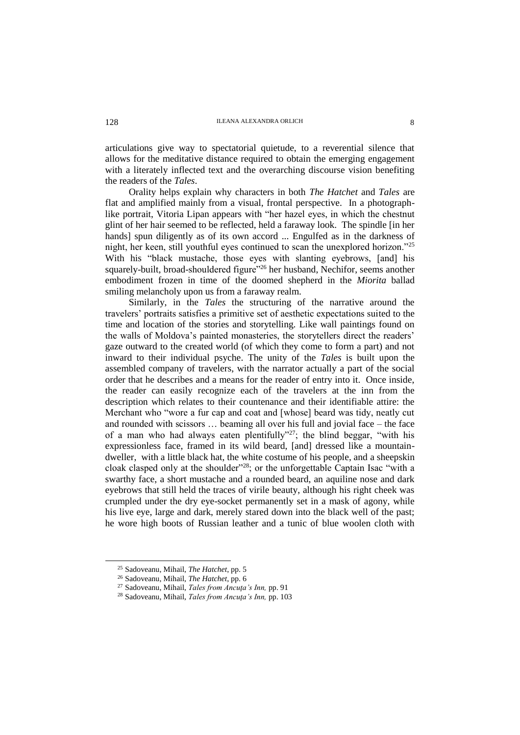articulations give way to spectatorial quietude, to a reverential silence that allows for the meditative distance required to obtain the emerging engagement with a literately inflected text and the overarching discourse vision benefiting the readers of the *Tales*.

Orality helps explain why characters in both *The Hatchet* and *Tales* are flat and amplified mainly from a visual, frontal perspective. In a photographlike portrait, Vitoria Lipan appears with "her hazel eyes, in which the chestnut glint of her hair seemed to be reflected, held a faraway look. The spindle [in her hands] spun diligently as of its own accord ... Engulfed as in the darkness of night, her keen, still youthful eyes continued to scan the unexplored horizon."<sup>25</sup> With his "black mustache, those eyes with slanting eyebrows, [and] his squarely-built, broad-shouldered figure<sup>"26</sup> her husband, Nechifor, seems another embodiment frozen in time of the doomed shepherd in the *Miorita* ballad smiling melancholy upon us from a faraway realm.

Similarly, in the *Tales* the structuring of the narrative around the travelers' portraits satisfies a primitive set of aesthetic expectations suited to the time and location of the stories and storytelling. Like wall paintings found on the walls of Moldova's painted monasteries, the storytellers direct the readers' gaze outward to the created world (of which they come to form a part) and not inward to their individual psyche. The unity of the *Tales* is built upon the assembled company of travelers, with the narrator actually a part of the social order that he describes and a means for the reader of entry into it. Once inside, the reader can easily recognize each of the travelers at the inn from the description which relates to their countenance and their identifiable attire: the Merchant who "wore a fur cap and coat and [whose] beard was tidy, neatly cut and rounded with scissors … beaming all over his full and jovial face – the face of a man who had always eaten plentifully"<sup>27</sup>; the blind beggar, "with his expressionless face, framed in its wild beard, [and] dressed like a mountaindweller, with a little black hat, the white costume of his people, and a sheepskin cloak clasped only at the shoulder"<sup>28</sup>; or the unforgettable Captain Isac "with a swarthy face, a short mustache and a rounded beard, an aquiline nose and dark eyebrows that still held the traces of virile beauty, although his right cheek was crumpled under the dry eye-socket permanently set in a mask of agony, while his live eye, large and dark, merely stared down into the black well of the past; he wore high boots of Russian leather and a tunic of blue woolen cloth with

<sup>25</sup> Sadoveanu, Mihail, *The Hatchet*, pp. 5

<sup>26</sup> Sadoveanu, Mihail, *The Hatchet*, pp. 6

<sup>27</sup> Sadoveanu, Mihail, *Tales from Ancuţa's Inn,* pp. 91

<sup>28</sup> Sadoveanu, Mihail, *Tales from Ancuţa's Inn,* pp. 103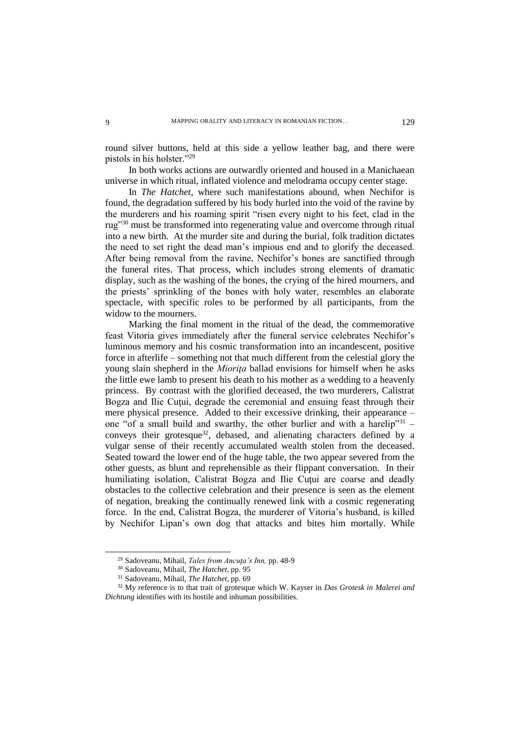round silver buttons, held at this side a yellow leather bag, and there were pistols in his holster."<sup>29</sup>

In both works actions are outwardly oriented and housed in a Manichaean universe in which ritual, inflated violence and melodrama occupy center stage.

In *The Hatchet*, where such manifestations abound, when Nechifor is found, the degradation suffered by his body hurled into the void of the ravine by the murderers and his roaming spirit "risen every night to his feet, clad in the rug"<sup>30</sup> must be transformed into regenerating value and overcome through ritual into a new birth. At the murder site and during the burial, folk tradition dictates the need to set right the dead man's impious end and to glorify the deceased. After being removal from the ravine, Nechifor's bones are sanctified through the funeral rites. That process, which includes strong elements of dramatic display, such as the washing of the bones, the crying of the hired mourners, and the priests' sprinkling of the bones with holy water, resembles an elaborate spectacle, with specific roles to be performed by all participants, from the widow to the mourners.

Marking the final moment in the ritual of the dead, the commemorative feast Vitoria gives immediately after the funeral service celebrates Nechifor's luminous memory and his cosmic transformation into an incandescent, positive force in afterlife – something not that much different from the celestial glory the young slain shepherd in the *Mioriţa* ballad envisions for himself when he asks the little ewe lamb to present his death to his mother as a wedding to a heavenly princess. By contrast with the glorified deceased, the two murderers, Calistrat Bogza and Ilie Cutui, degrade the ceremonial and ensuing feast through their mere physical presence. Added to their excessive drinking, their appearance – one "of a small build and swarthy, the other burlier and with a harelip"  $31$ conveys their grotesque<sup>32</sup>, debased, and alienating characters defined by a vulgar sense of their recently accumulated wealth stolen from the deceased. Seated toward the lower end of the huge table, the two appear severed from the other guests, as blunt and reprehensible as their flippant conversation. In their humiliating isolation, Calistrat Bogza and Ilie Cuţui are coarse and deadly obstacles to the collective celebration and their presence is seen as the element of negation, breaking the continually renewed link with a cosmic regenerating force. In the end, Calistrat Bogza, the murderer of Vitoria's husband, is killed by Nechifor Lipan's own dog that attacks and bites him mortally. While

<sup>29</sup> Sadoveanu, Mihail, *Tales from Ancuţa's Inn,* pp. 48-9

<sup>30</sup> Sadoveanu, Mihail, *The Hatchet*, pp. 95

<sup>31</sup> Sadoveanu, Mihail, *The Hatchet*, pp. 69

<sup>32</sup> My reference is to that trait of grotesque which W. Kayser in *Das Grotesk in Malerei and Dichtung* identifies with its hostile and inhuman possibilities.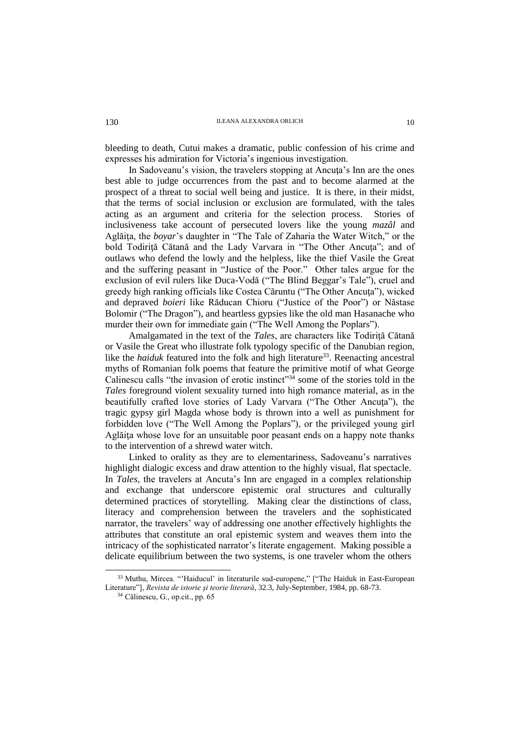bleeding to death, Cutui makes a dramatic, public confession of his crime and expresses his admiration for Victoria's ingenious investigation.

In Sadoveanu's vision, the travelers stopping at Ancuta's Inn are the ones best able to judge occurrences from the past and to become alarmed at the prospect of a threat to social well being and justice. It is there, in their midst, that the terms of social inclusion or exclusion are formulated, with the tales acting as an argument and criteria for the selection process. Stories of inclusiveness take account of persecuted lovers like the young *mazâl* and Aglăiţa, the *boyar*'s daughter in "The Tale of Zaharia the Water Witch," or the bold Todirită Cătană and the Lady Varvara in "The Other Ancuta"; and of outlaws who defend the lowly and the helpless, like the thief Vasile the Great and the suffering peasant in "Justice of the Poor." Other tales argue for the exclusion of evil rulers like Duca-Vodă ("The Blind Beggar's Tale"), cruel and greedy high ranking officials like Costea Căruntu ("The Other Ancuta"), wicked and depraved *boieri* like Răducan Chioru ("Justice of the Poor") or Năstase Bolomir ("The Dragon"), and heartless gypsies like the old man Hasanache who murder their own for immediate gain ("The Well Among the Poplars").

Amalgamated in the text of the *Tales*, are characters like Todiriţă Cătană or Vasile the Great who illustrate folk typology specific of the Danubian region, like the *haiduk* featured into the folk and high literature<sup>33</sup>. Reenacting ancestral myths of Romanian folk poems that feature the primitive motif of what George Calinescu calls "the invasion of erotic instinct"<sup>34</sup> some of the stories told in the *Tales* foreground violent sexuality turned into high romance material, as in the beautifully crafted love stories of Lady Varvara ("The Other Ancuta"), the tragic gypsy girl Magda whose body is thrown into a well as punishment for forbidden love ("The Well Among the Poplars"), or the privileged young girl Aglăiţa whose love for an unsuitable poor peasant ends on a happy note thanks to the intervention of a shrewd water witch.

Linked to orality as they are to elementariness, Sadoveanu's narratives highlight dialogic excess and draw attention to the highly visual, flat spectacle. In *Tales*, the travelers at Ancuta's Inn are engaged in a complex relationship and exchange that underscore epistemic oral structures and culturally determined practices of storytelling. Making clear the distinctions of class, literacy and comprehension between the travelers and the sophisticated narrator, the travelers' way of addressing one another effectively highlights the attributes that constitute an oral epistemic system and weaves them into the intricacy of the sophisticated narrator's literate engagement. Making possible a delicate equilibrium between the two systems, is one traveler whom the others

<sup>33</sup> Muthu, Mircea. "'Haiducul' in literaturile sud-europene," ["The Haiduk in East-European Literature"], *Revista de istorie şi teorie literară*, 32.3, July-September, 1984, pp. 68-73.

<sup>34</sup> Călinescu, G., op.cit., pp. 65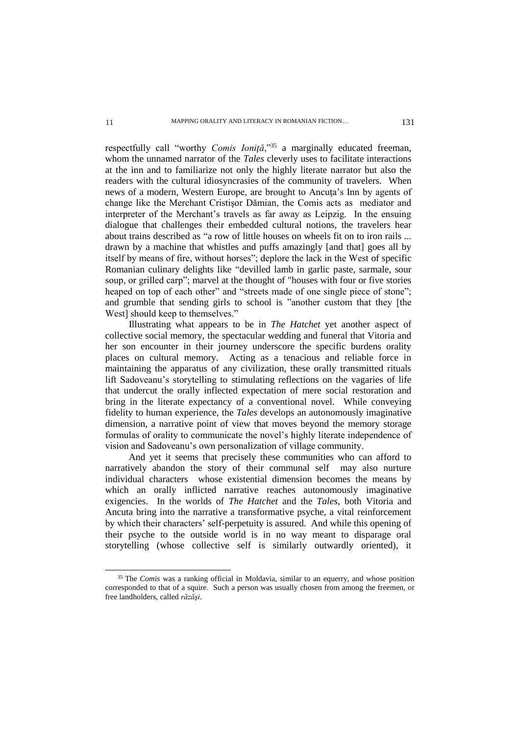respectfully call "worthy *Comis Ioniţă*,"<sup>35</sup> a marginally educated freeman, whom the unnamed narrator of the *Tales* cleverly uses to facilitate interactions at the inn and to familiarize not only the highly literate narrator but also the readers with the cultural idiosyncrasies of the community of travelers. When news of a modern, Western Europe, are brought to Ancuţa's Inn by agents of change like the Merchant Cristişor Dămian, the Comis acts as mediator and interpreter of the Merchant's travels as far away as Leipzig. In the ensuing dialogue that challenges their embedded cultural notions, the travelers hear about trains described as "a row of little houses on wheels fit on to iron rails ... drawn by a machine that whistles and puffs amazingly [and that] goes all by itself by means of fire, without horses"; deplore the lack in the West of specific Romanian culinary delights like "devilled lamb in garlic paste, sarmale, sour soup, or grilled carp"; marvel at the thought of "houses with four or five stories heaped on top of each other" and "streets made of one single piece of stone": and grumble that sending girls to school is "another custom that they [the West] should keep to themselves."

Illustrating what appears to be in *The Hatchet* yet another aspect of collective social memory, the spectacular wedding and funeral that Vitoria and her son encounter in their journey underscore the specific burdens orality places on cultural memory. Acting as a tenacious and reliable force in maintaining the apparatus of any civilization, these orally transmitted rituals lift Sadoveanu's storytelling to stimulating reflections on the vagaries of life that undercut the orally inflected expectation of mere social restoration and bring in the literate expectancy of a conventional novel. While conveying fidelity to human experience, the *Tales* develops an autonomously imaginative dimension, a narrative point of view that moves beyond the memory storage formulas of orality to communicate the novel's highly literate independence of vision and Sadoveanu's own personalization of village community.

And yet it seems that precisely these communities who can afford to narratively abandon the story of their communal self may also nurture individual characters whose existential dimension becomes the means by which an orally inflicted narrative reaches autonomously imaginative exigencies. In the worlds of *The Hatchet* and the *Tales*, both Vitoria and Ancuta bring into the narrative a transformative psyche, a vital reinforcement by which their characters' self-perpetuity is assured. And while this opening of their psyche to the outside world is in no way meant to disparage oral storytelling (whose collective self is similarly outwardly oriented), it

<sup>35</sup> The *Comis* was a ranking official in Moldavia, similar to an equerry, and whose position corresponded to that of a squire. Such a person was usually chosen from among the freemen, or free landholders, called *răzăşi*.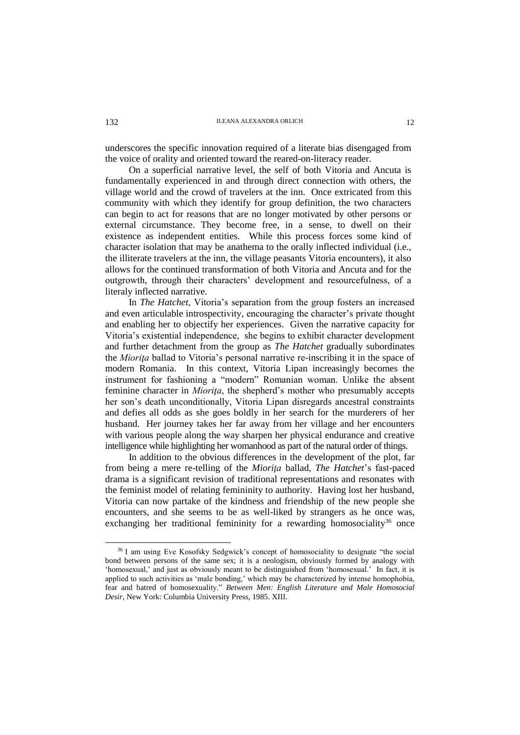## **ILEANA ALEXANDRA ORLICH** 12

underscores the specific innovation required of a literate bias disengaged from the voice of orality and oriented toward the reared-on-literacy reader.

On a superficial narrative level, the self of both Vitoria and Ancuta is fundamentally experienced in and through direct connection with others, the village world and the crowd of travelers at the inn. Once extricated from this community with which they identify for group definition, the two characters can begin to act for reasons that are no longer motivated by other persons or external circumstance. They become free, in a sense, to dwell on their existence as independent entities. While this process forces some kind of character isolation that may be anathema to the orally inflected individual (i.e., the illiterate travelers at the inn, the village peasants Vitoria encounters), it also allows for the continued transformation of both Vitoria and Ancuta and for the outgrowth, through their characters' development and resourcefulness, of a literaly inflected narrative.

In *The Hatchet*, Vitoria's separation from the group fosters an increased and even articulable introspectivity, encouraging the character's private thought and enabling her to objectify her experiences. Given the narrative capacity for Vitoria's existential independence, she begins to exhibit character development and further detachment from the group as *The Hatchet* gradually subordinates the *Mioriţa* ballad to Vitoria's personal narrative re-inscribing it in the space of modern Romania. In this context, Vitoria Lipan increasingly becomes the instrument for fashioning a "modern" Romanian woman. Unlike the absent feminine character in *Mioriţa*, the shepherd's mother who presumably accepts her son's death unconditionally, Vitoria Lipan disregards ancestral constraints and defies all odds as she goes boldly in her search for the murderers of her husband. Her journey takes her far away from her village and her encounters with various people along the way sharpen her physical endurance and creative intelligence while highlighting her womanhood as part of the natural order of things.

In addition to the obvious differences in the development of the plot, far from being a mere re-telling of the *Mioriţa* ballad, *The Hatchet*'s fast-paced drama is a significant revision of traditional representations and resonates with the feminist model of relating femininity to authority. Having lost her husband, Vitoria can now partake of the kindness and friendship of the new people she encounters, and she seems to be as well-liked by strangers as he once was, exchanging her traditional femininity for a rewarding homosociality<sup>36</sup> once

<sup>36</sup> I am using Eve Kosofsky Sedgwick's concept of homosociality to designate "the social bond between persons of the same sex; it is a neologism, obviously formed by analogy with 'homosexual,' and just as obviously meant to be distinguished from 'homosexual.' In fact, it is applied to such activities as 'male bonding,' which may be characterized by intense homophobia, fear and hatred of homosexuality." *Between Men: English Literature and Male Homosocial Desir,* New York: Columbia University Press, 1985. XIII.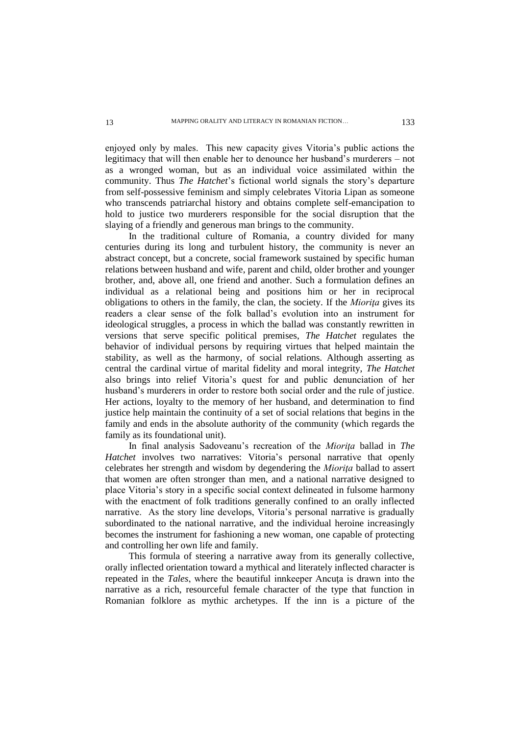enjoyed only by males. This new capacity gives Vitoria's public actions the legitimacy that will then enable her to denounce her husband's murderers – not as a wronged woman, but as an individual voice assimilated within the community. Thus *The Hatchet*'s fictional world signals the story's departure from self-possessive feminism and simply celebrates Vitoria Lipan as someone who transcends patriarchal history and obtains complete self-emancipation to hold to justice two murderers responsible for the social disruption that the slaying of a friendly and generous man brings to the community.

In the traditional culture of Romania, a country divided for many centuries during its long and turbulent history, the community is never an abstract concept, but a concrete, social framework sustained by specific human relations between husband and wife, parent and child, older brother and younger brother, and, above all, one friend and another. Such a formulation defines an individual as a relational being and positions him or her in reciprocal obligations to others in the family, the clan, the society. If the *Mioriţa* gives its readers a clear sense of the folk ballad's evolution into an instrument for ideological struggles, a process in which the ballad was constantly rewritten in versions that serve specific political premises, *The Hatchet* regulates the behavior of individual persons by requiring virtues that helped maintain the stability, as well as the harmony, of social relations. Although asserting as central the cardinal virtue of marital fidelity and moral integrity, *The Hatchet* also brings into relief Vitoria's quest for and public denunciation of her husband's murderers in order to restore both social order and the rule of justice. Her actions, loyalty to the memory of her husband, and determination to find justice help maintain the continuity of a set of social relations that begins in the family and ends in the absolute authority of the community (which regards the family as its foundational unit).

In final analysis Sadoveanu's recreation of the *Mioriţa* ballad in *The Hatchet* involves two narratives: Vitoria's personal narrative that openly celebrates her strength and wisdom by degendering the *Mioriţa* ballad to assert that women are often stronger than men, and a national narrative designed to place Vitoria's story in a specific social context delineated in fulsome harmony with the enactment of folk traditions generally confined to an orally inflected narrative. As the story line develops, Vitoria's personal narrative is gradually subordinated to the national narrative, and the individual heroine increasingly becomes the instrument for fashioning a new woman, one capable of protecting and controlling her own life and family.

This formula of steering a narrative away from its generally collective, orally inflected orientation toward a mythical and literately inflected character is repeated in the *Tales*, where the beautiful innkeeper Ancuţa is drawn into the narrative as a rich, resourceful female character of the type that function in Romanian folklore as mythic archetypes. If the inn is a picture of the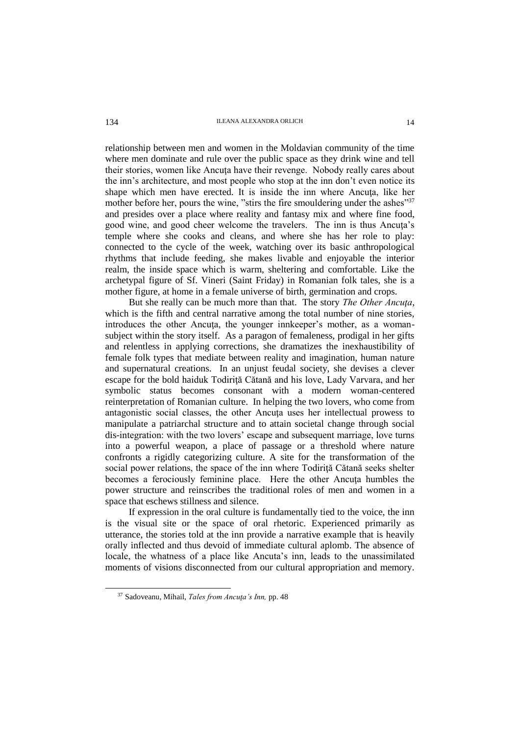## 134 ILEANA ALEXANDRA ORLICH 14

relationship between men and women in the Moldavian community of the time where men dominate and rule over the public space as they drink wine and tell their stories, women like Ancuţa have their revenge. Nobody really cares about the inn's architecture, and most people who stop at the inn don't even notice its shape which men have erected. It is inside the inn where Ancuţa, like her mother before her, pours the wine, "stirs the fire smouldering under the ashes"<sup>37</sup> and presides over a place where reality and fantasy mix and where fine food, good wine, and good cheer welcome the travelers. The inn is thus Ancuta's temple where she cooks and cleans, and where she has her role to play: connected to the cycle of the week, watching over its basic anthropological rhythms that include feeding, she makes livable and enjoyable the interior realm, the inside space which is warm, sheltering and comfortable. Like the archetypal figure of Sf. Vineri (Saint Friday) in Romanian folk tales, she is a mother figure, at home in a female universe of birth, germination and crops.

But she really can be much more than that. The story *The Other Ancuţa*, which is the fifth and central narrative among the total number of nine stories, introduces the other Ancuța, the younger innkeeper's mother, as a womansubject within the story itself. As a paragon of femaleness, prodigal in her gifts and relentless in applying corrections, she dramatizes the inexhaustibility of female folk types that mediate between reality and imagination, human nature and supernatural creations. In an unjust feudal society, she devises a clever escape for the bold haiduk Todiriţă Cătană and his love, Lady Varvara, and her symbolic status becomes consonant with a modern woman-centered reinterpretation of Romanian culture. In helping the two lovers, who come from antagonistic social classes, the other Ancuţa uses her intellectual prowess to manipulate a patriarchal structure and to attain societal change through social dis-integration: with the two lovers' escape and subsequent marriage, love turns into a powerful weapon, a place of passage or a threshold where nature confronts a rigidly categorizing culture. A site for the transformation of the social power relations, the space of the inn where Todirită Cătană seeks shelter becomes a ferociously feminine place. Here the other Ancuta humbles the power structure and reinscribes the traditional roles of men and women in a space that eschews stillness and silence.

If expression in the oral culture is fundamentally tied to the voice, the inn is the visual site or the space of oral rhetoric. Experienced primarily as utterance, the stories told at the inn provide a narrative example that is heavily orally inflected and thus devoid of immediate cultural aplomb. The absence of locale, the whatness of a place like Ancuta's inn, leads to the unassimilated moments of visions disconnected from our cultural appropriation and memory.

<sup>37</sup> Sadoveanu, Mihail, *Tales from Ancuţa's Inn,* pp. 48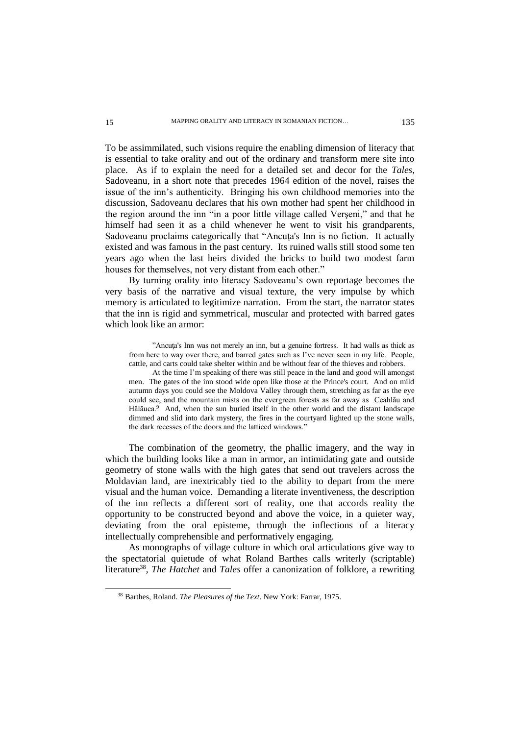To be assimmilated, such visions require the enabling dimension of literacy that is essential to take orality and out of the ordinary and transform mere site into place. As if to explain the need for a detailed set and decor for the *Tales*, Sadoveanu, in a short note that precedes 1964 edition of the novel, raises the issue of the inn's authenticity. Bringing his own childhood memories into the discussion, Sadoveanu declares that his own mother had spent her childhood in the region around the inn "in a poor little village called Verşeni," and that he himself had seen it as a child whenever he went to visit his grandparents, Sadoveanu proclaims categorically that "Ancuța's Inn is no fiction. It actually existed and was famous in the past century. Its ruined walls still stood some ten years ago when the last heirs divided the bricks to build two modest farm houses for themselves, not very distant from each other."

By turning orality into literacy Sadoveanu's own reportage becomes the very basis of the narrative and visual texture, the very impulse by which memory is articulated to legitimize narration. From the start, the narrator states that the inn is rigid and symmetrical, muscular and protected with barred gates which look like an armor:

"Ancuţa's Inn was not merely an inn, but a genuine fortress. It had walls as thick as from here to way over there, and barred gates such as I've never seen in my life. People, cattle, and carts could take shelter within and be without fear of the thieves and robbers.

At the time I'm speaking of there was still peace in the land and good will amongst men. The gates of the inn stood wide open like those at the Prince's court. And on mild autumn days you could see the Moldova Valley through them, stretching as far as the eye could see, and the mountain mists on the evergreen forests as far away as Ceahlău and Hălăuca.<sup>9</sup> And, when the sun buried itself in the other world and the distant landscape dimmed and slid into dark mystery, the fires in the courtyard lighted up the stone walls, the dark recesses of the doors and the latticed windows."

The combination of the geometry, the phallic imagery, and the way in which the building looks like a man in armor, an intimidating gate and outside geometry of stone walls with the high gates that send out travelers across the Moldavian land, are inextricably tied to the ability to depart from the mere visual and the human voice. Demanding a literate inventiveness, the description of the inn reflects a different sort of reality, one that accords reality the opportunity to be constructed beyond and above the voice, in a quieter way, deviating from the oral episteme, through the inflections of a literacy intellectually comprehensible and performatively engaging.

As monographs of village culture in which oral articulations give way to the spectatorial quietude of what Roland Barthes calls writerly (scriptable) literature<sup>38</sup>, *The Hatchet* and *Tales* offer a canonization of folklore, a rewriting

<sup>38</sup> Barthes, Roland. *The Pleasures of the Text*. New York: Farrar, 1975.